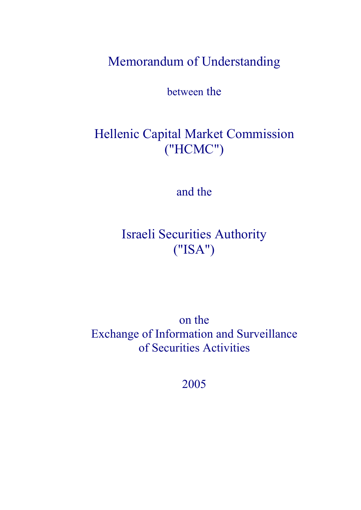Memorandum of Understanding

between the

# Hellenic Capital Market Commission ("HCMC")

and the

Israeli Securities Authority ("ISA")

on the Exchange of Information and Surveillance of Securities Activities

2005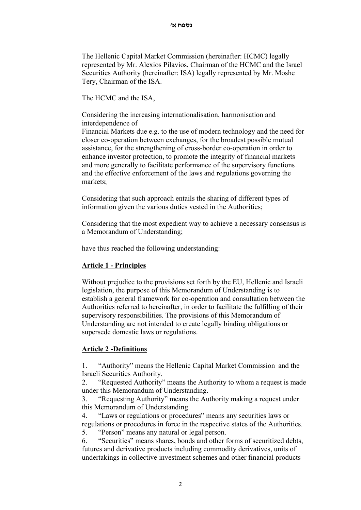The Hellenic Capital Market Commission (hereinafter: HCMC) legally represented by Mr. Alexios Pilavios, Chairman of the HCMC and the Israel Securities Authority (hereinafter: ISA) legally represented by Mr. Moshe Tery, Chairman of the ISA.

The HCMC and the ISA,

Considering the increasing internationalisation, harmonisation and interdependence of

Financial Markets due e.g. to the use of modern technology and the need for closer co-operation between exchanges, for the broadest possible mutual assistance, for the strengthening of cross-border co-operation in order to enhance investor protection, to promote the integrity of financial markets and more generally to facilitate performance of the supervisory functions and the effective enforcement of the laws and regulations governing the markets;

Considering that such approach entails the sharing of different types of information given the various duties vested in the Authorities;

Considering that the most expedient way to achieve a necessary consensus is a Memorandum of Understanding;

have thus reached the following understanding:

#### **Article 1 - Principles**

Without prejudice to the provisions set forth by the EU, Hellenic and Israeli legislation, the purpose of this Memorandum of Understanding is to establish a general framework for co-operation and consultation between the Authorities referred to hereinafter, in order to facilitate the fulfilling of their supervisory responsibilities. The provisions of this Memorandum of Understanding are not intended to create legally binding obligations or supersede domestic laws or regulations.

#### **Article 2 -Definitions**

1. "Authority" means the Hellenic Capital Market Commission and the Israeli Securities Authority.

2. "Requested Authority" means the Authority to whom a request is made under this Memorandum of Understanding.

3. "Requesting Authority" means the Authority making a request under this Memorandum of Understanding.

4. "Laws or regulations or procedures" means any securities laws or regulations or procedures in force in the respective states of the Authorities. 5. "Person" means any natural or legal person.

6. "Securities" means shares, bonds and other forms of securitized debts, futures and derivative products including commodity derivatives, units of undertakings in collective investment schemes and other financial products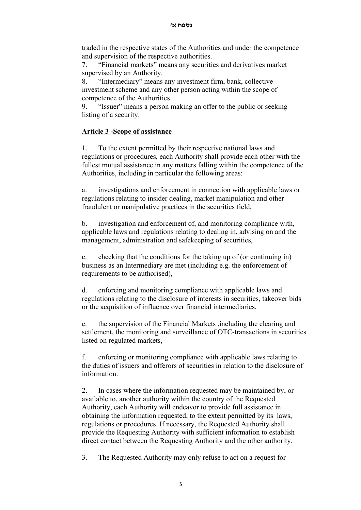traded in the respective states of the Authorities and under the competence and supervision of the respective authorities.

7. "Financial markets" means any securities and derivatives market supervised by an Authority.

8. "Intermediary" means any investment firm, bank, collective investment scheme and any other person acting within the scope of competence of the Authorities.

9. "Issuer" means a person making an offer to the public or seeking listing of a security.

# **Article 3 -Scope of assistance**

1. To the extent permitted by their respective national laws and regulations or procedures, each Authority shall provide each other with the fullest mutual assistance in any matters falling within the competence of the Authorities, including in particular the following areas:

a. investigations and enforcement in connection with applicable laws or regulations relating to insider dealing, market manipulation and other fraudulent or manipulative practices in the securities field,

b. investigation and enforcement of, and monitoring compliance with, applicable laws and regulations relating to dealing in, advising on and the management, administration and safekeeping of securities,

c. checking that the conditions for the taking up of (or continuing in) business as an Intermediary are met (including e.g. the enforcement of requirements to be authorised),

d. enforcing and monitoring compliance with applicable laws and regulations relating to the disclosure of interests in securities, takeover bids or the acquisition of influence over financial intermediaries,

e. the supervision of the Financial Markets ,including the clearing and settlement, the monitoring and surveillance of OTC-transactions in securities listed on regulated markets,

f. enforcing or monitoring compliance with applicable laws relating to the duties of issuers and offerors of securities in relation to the disclosure of information.

2. In cases where the information requested may be maintained by, or available to, another authority within the country of the Requested Authority, each Authority will endeavor to provide full assistance in obtaining the information requested, to the extent permitted by its laws, regulations or procedures. If necessary, the Requested Authority shall provide the Requesting Authority with sufficient information to establish direct contact between the Requesting Authority and the other authority.

3. The Requested Authority may only refuse to act on a request for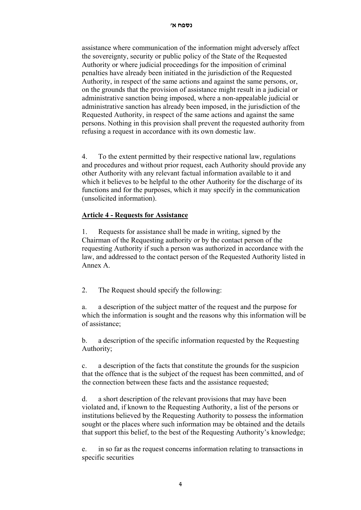assistance where communication of the information might adversely affect the sovereignty, security or public policy of the State of the Requested Authority or where judicial proceedings for the imposition of criminal penalties have already been initiated in the jurisdiction of the Requested Authority, in respect of the same actions and against the same persons, or, on the grounds that the provision of assistance might result in a judicial or administrative sanction being imposed, where a non-appealable judicial or administrative sanction has already been imposed, in the jurisdiction of the Requested Authority, in respect of the same actions and against the same persons. Nothing in this provision shall prevent the requested authority from refusing a request in accordance with its own domestic law.

4. To the extent permitted by their respective national law, regulations and procedures and without prior request, each Authority should provide any other Authority with any relevant factual information available to it and which it believes to be helpful to the other Authority for the discharge of its functions and for the purposes, which it may specify in the communication (unsolicited information).

# **Article 4 - Requests for Assistance**

1. Requests for assistance shall be made in writing, signed by the Chairman of the Requesting authority or by the contact person of the requesting Authority if such a person was authorized in accordance with the law, and addressed to the contact person of the Requested Authority listed in Annex A.

2. The Request should specify the following:

a. a description of the subject matter of the request and the purpose for which the information is sought and the reasons why this information will be of assistance;

b. a description of the specific information requested by the Requesting Authority;

c. a description of the facts that constitute the grounds for the suspicion that the offence that is the subject of the request has been committed, and of the connection between these facts and the assistance requested;

d. a short description of the relevant provisions that may have been violated and, if known to the Requesting Authority, a list of the persons or institutions believed by the Requesting Authority to possess the information sought or the places where such information may be obtained and the details that support this belief, to the best of the Requesting Authority's knowledge;

e. in so far as the request concerns information relating to transactions in specific securities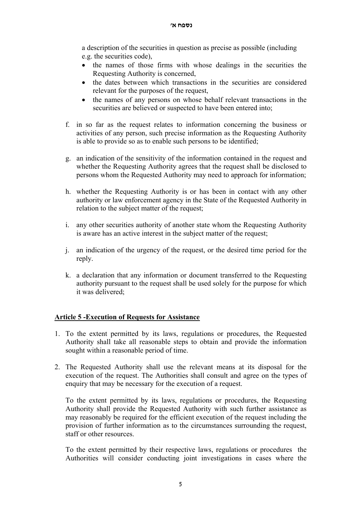a description of the securities in question as precise as possible (including e.g. the securities code),

- the names of those firms with whose dealings in the securities the Requesting Authority is concerned,
- the dates between which transactions in the securities are considered relevant for the purposes of the request,
- the names of any persons on whose behalf relevant transactions in the securities are believed or suspected to have been entered into;
- f. in so far as the request relates to information concerning the business or activities of any person, such precise information as the Requesting Authority is able to provide so as to enable such persons to be identified;
- g. an indication of the sensitivity of the information contained in the request and whether the Requesting Authority agrees that the request shall be disclosed to persons whom the Requested Authority may need to approach for information;
- h. whether the Requesting Authority is or has been in contact with any other authority or law enforcement agency in the State of the Requested Authority in relation to the subject matter of the request;
- i. any other securities authority of another state whom the Requesting Authority is aware has an active interest in the subject matter of the request;
- j. an indication of the urgency of the request, or the desired time period for the reply.
- k. a declaration that any information or document transferred to the Requesting authority pursuant to the request shall be used solely for the purpose for which it was delivered;

# **Article 5 -Execution of Requests for Assistance**

- 1. To the extent permitted by its laws, regulations or procedures, the Requested Authority shall take all reasonable steps to obtain and provide the information sought within a reasonable period of time.
- 2. The Requested Authority shall use the relevant means at its disposal for the execution of the request. The Authorities shall consult and agree on the types of enquiry that may be necessary for the execution of a request.

To the extent permitted by its laws, regulations or procedures, the Requesting Authority shall provide the Requested Authority with such further assistance as may reasonably be required for the efficient execution of the request including the provision of further information as to the circumstances surrounding the request, staff or other resources.

To the extent permitted by their respective laws, regulations or procedures the Authorities will consider conducting joint investigations in cases where the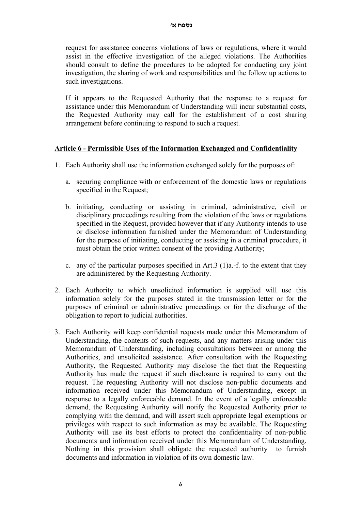request for assistance concerns violations of laws or regulations, where it would assist in the effective investigation of the alleged violations. The Authorities should consult to define the procedures to be adopted for conducting any joint investigation, the sharing of work and responsibilities and the follow up actions to such investigations.

If it appears to the Requested Authority that the response to a request for assistance under this Memorandum of Understanding will incur substantial costs, the Requested Authority may call for the establishment of a cost sharing arrangement before continuing to respond to such a request.

## **Article 6 - Permissible Uses of the Information Exchanged and Confidentiality**

- 1. Each Authority shall use the information exchanged solely for the purposes of:
	- a. securing compliance with or enforcement of the domestic laws or regulations specified in the Request;
	- b. initiating, conducting or assisting in criminal, administrative, civil or disciplinary proceedings resulting from the violation of the laws or regulations specified in the Request, provided however that if any Authority intends to use or disclose information furnished under the Memorandum of Understanding for the purpose of initiating, conducting or assisting in a criminal procedure, it must obtain the prior written consent of the providing Authority;
	- c. any of the particular purposes specified in Art.3 (1)a.-f. to the extent that they are administered by the Requesting Authority.
- 2. Each Authority to which unsolicited information is supplied will use this information solely for the purposes stated in the transmission letter or for the purposes of criminal or administrative proceedings or for the discharge of the obligation to report to judicial authorities.
- 3. Each Authority will keep confidential requests made under this Memorandum of Understanding, the contents of such requests, and any matters arising under this Memorandum of Understanding, including consultations between or among the Authorities, and unsolicited assistance. After consultation with the Requesting Authority, the Requested Authority may disclose the fact that the Requesting Authority has made the request if such disclosure is required to carry out the request. The requesting Authority will not disclose non-public documents and information received under this Memorandum of Understanding, except in response to a legally enforceable demand. In the event of a legally enforceable demand, the Requesting Authority will notify the Requested Authority prior to complying with the demand, and will assert such appropriate legal exemptions or privileges with respect to such information as may be available. The Requesting Authority will use its best efforts to protect the confidentiality of non-public documents and information received under this Memorandum of Understanding. Nothing in this provision shall obligate the requested authority to furnish documents and information in violation of its own domestic law.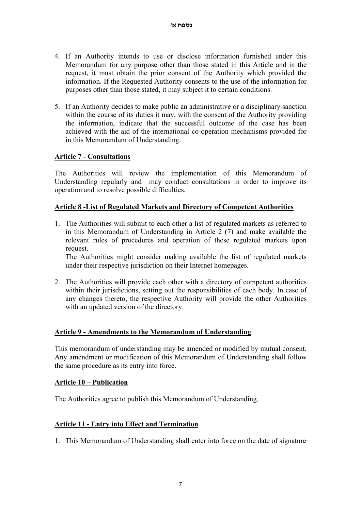- 4. If an Authority intends to use or disclose information furnished under this Memorandum for any purpose other than those stated in this Article and in the request, it must obtain the prior consent of the Authority which provided the information. If the Requested Authority consents to the use of the information for purposes other than those stated, it may subject it to certain conditions.
- 5. If an Authority decides to make public an administrative or a disciplinary sanction within the course of its duties it may, with the consent of the Authority providing the information, indicate that the successful outcome of the case has been achieved with the aid of the international co-operation mechanisms provided for in this Memorandum of Understanding.

# **Article 7 - Consultations**

The Authorities will review the implementation of this Memorandum of Understanding regularly and may conduct consultations in order to improve its operation and to resolve possible difficulties.

## **Article 8 -List of Regulated Markets and Directory of Competent Authorities**

1. The Authorities will submit to each other a list of regulated markets as referred to in this Memorandum of Understanding in Article 2 (7) and make available the relevant rules of procedures and operation of these regulated markets upon request.

The Authorities might consider making available the list of regulated markets under their respective jurisdiction on their Internet homepages.

2. The Authorities will provide each other with a directory of competent authorities within their jurisdictions, setting out the responsibilities of each body. In case of any changes thereto, the respective Authority will provide the other Authorities with an updated version of the directory.

# **Article 9 - Amendments to the Memorandum of Understanding**

This memorandum of understanding may be amended or modified by mutual consent. Any amendment or modification of this Memorandum of Understanding shall follow the same procedure as its entry into force.

#### **Article 10 – Publication**

The Authorities agree to publish this Memorandum of Understanding.

#### **Article 11 - Entry into Effect and Termination**

1. This Memorandum of Understanding shall enter into force on the date of signature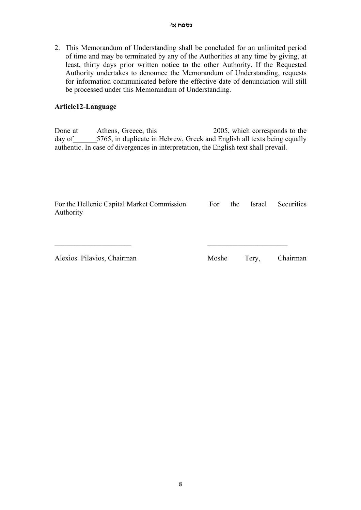2. This Memorandum of Understanding shall be concluded for an unlimited period of time and may be terminated by any of the Authorities at any time by giving, at least, thirty days prior written notice to the other Authority. If the Requested Authority undertakes to denounce the Memorandum of Understanding, requests for information communicated before the effective date of denunciation will still be processed under this Memorandum of Understanding.

#### **Article12-Language**

Done at Athens, Greece, this 2005, which corresponds to the day of 5765, in duplicate in Hebrew, Greek and English all texts being equally authentic. In case of divergences in interpretation, the English text shall prevail.

| For the Hellenic Capital Market Commission<br>Authority | For   | the | Israel | Securities |
|---------------------------------------------------------|-------|-----|--------|------------|
| Alexios Pilavios, Chairman                              | Moshe |     | Tery,  | Chairman   |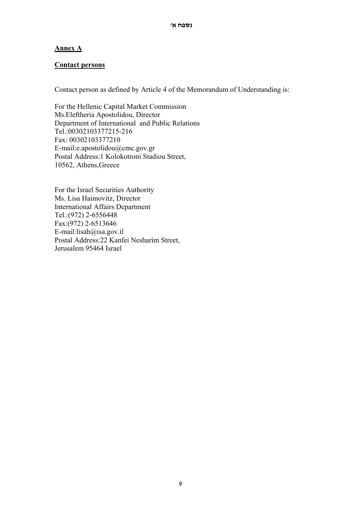## **Annex A**

#### **Contact persons**

Contact person as defined by Article 4 of the Memorandum of Understanding is:

For the Hellenic Capital Market Commission Ms.Eleftheria Apostolidou, Director Department of International and Public Relations Tel.:00302103377215-216 Fax: 00302103377210 E-mail:e.apostolidou@cmc.gov.gr Postal Address:1 Kolokotroni Stadiou Street, 10562, Athens,Greece

For the Israel Securities Authority Ms. Lisa Haimovitz, Director International Affairs Department Tel.:(972) 2-6556448 Fax:(972) 2-6513646 E-mail:lisah@isa.gov.il Postal Address:22 Kanfei Nesharim Street, Jerusalem 95464 Israel